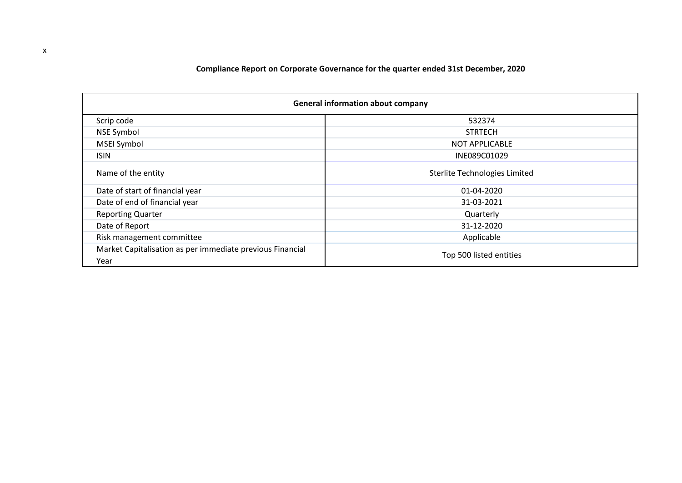|  | Compliance Report on Corporate Governance for the quarter ended 31st December, 2020 |
|--|-------------------------------------------------------------------------------------|
|--|-------------------------------------------------------------------------------------|

| <b>General information about company</b>                          |                               |  |  |  |  |
|-------------------------------------------------------------------|-------------------------------|--|--|--|--|
| Scrip code                                                        | 532374                        |  |  |  |  |
| <b>NSE Symbol</b>                                                 | <b>STRTECH</b>                |  |  |  |  |
| <b>MSEI Symbol</b>                                                | <b>NOT APPLICABLE</b>         |  |  |  |  |
| <b>ISIN</b>                                                       | INE089C01029                  |  |  |  |  |
| Name of the entity                                                | Sterlite Technologies Limited |  |  |  |  |
| Date of start of financial year                                   | 01-04-2020                    |  |  |  |  |
| Date of end of financial year                                     | 31-03-2021                    |  |  |  |  |
| <b>Reporting Quarter</b>                                          | Quarterly                     |  |  |  |  |
| Date of Report                                                    | 31-12-2020                    |  |  |  |  |
| Risk management committee                                         | Applicable                    |  |  |  |  |
| Market Capitalisation as per immediate previous Financial<br>Year | Top 500 listed entities       |  |  |  |  |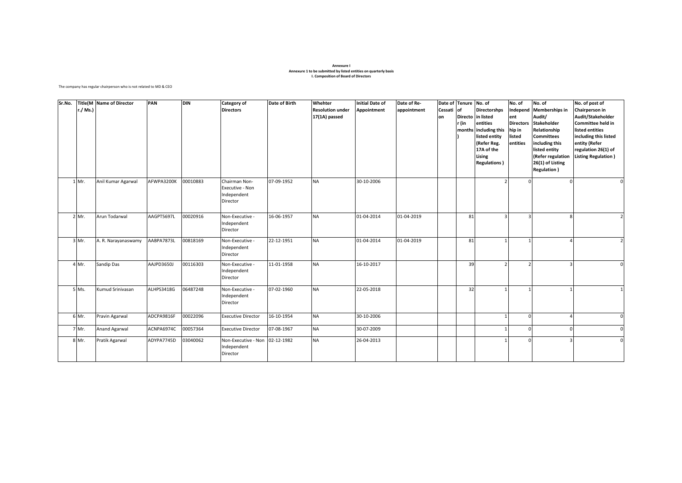#### **Annexure I Annexure 1 to be submitted by listed entities on quarterly basis I. Composition of Board of Directors**

The company has regular chairperson who is not related to MD & CEO

| Sr.No. | r./ Ms.)<br>1 Mr. | <b>Title(M Name of Director</b><br>Anil Kumar Agarwal | PAN<br>AFWPA3200K | <b>DIN</b><br>00010883 | Category of<br><b>Directors</b><br>Chairman Non- | Date of Birth<br>07-09-1952 | Whehter<br><b>Resolution under</b><br>17(1A) passed<br><b>NA</b> | <b>Initial Date of</b><br>Appointment<br>30-10-2006 | Date of Re-<br>appointment | Cessati<br>lon | Date of Tenure No. of<br>lof<br>r (in | <b>Directorshps</b><br>Directo in listed<br>entities<br>months including this<br>listed entity<br>(Refer Reg.<br>17A of the<br>Lising<br><b>Regulations</b> ) | No. of<br>Independ<br>ent<br>hip in<br>listed<br>entities<br>$\Omega$ | No. of<br><b>Memberships in</b><br>Audit/<br>Directors Stakeholder<br>Relationship<br><b>Committees</b><br>including this<br>listed entity<br>(Refer regulation<br>26(1) of Listing<br><b>Regulation</b> ) | No. of post of<br>Chairperson in<br>Audit/Stakeholder<br>Committee held in<br>listed entities<br>including this listed<br>entity (Refer<br>regulation 26(1) of<br><b>Listing Regulation</b> )<br>$\mathcal{C}$ |
|--------|-------------------|-------------------------------------------------------|-------------------|------------------------|--------------------------------------------------|-----------------------------|------------------------------------------------------------------|-----------------------------------------------------|----------------------------|----------------|---------------------------------------|---------------------------------------------------------------------------------------------------------------------------------------------------------------|-----------------------------------------------------------------------|------------------------------------------------------------------------------------------------------------------------------------------------------------------------------------------------------------|----------------------------------------------------------------------------------------------------------------------------------------------------------------------------------------------------------------|
|        |                   |                                                       |                   |                        | Executive - Non<br>Independent<br>Director       |                             |                                                                  |                                                     |                            |                |                                       |                                                                                                                                                               |                                                                       |                                                                                                                                                                                                            |                                                                                                                                                                                                                |
|        | 2 Mr.             | Arun Todarwal                                         | AAGPT5697L        | 00020916               | Non-Executive -<br>Independent<br>Director       | 16-06-1957                  | <b>NA</b>                                                        | 01-04-2014                                          | 01-04-2019                 |                | 81                                    |                                                                                                                                                               | 3                                                                     | 8                                                                                                                                                                                                          |                                                                                                                                                                                                                |
|        | 3 Mr.             | A. R. Narayanaswamy                                   | AABPA7873L        | 00818169               | Non-Executive -<br>Independent<br>Director       | 22-12-1951                  | <b>NA</b>                                                        | 01-04-2014                                          | 01-04-2019                 |                | 81                                    |                                                                                                                                                               |                                                                       |                                                                                                                                                                                                            |                                                                                                                                                                                                                |
|        | 4 Mr.             | Sandip Das                                            | AAJPD3650J        | 00116303               | Non-Executive -<br>Independent<br>Director       | 11-01-1958                  | <b>NA</b>                                                        | 16-10-2017                                          |                            |                | 39                                    |                                                                                                                                                               | $\mathcal{P}$                                                         | $\mathbf{a}$                                                                                                                                                                                               | $\mathcal{C}_{\mathcal{C}}$                                                                                                                                                                                    |
|        | 5 Ms.             | Kumud Srinivasan                                      | ALHPS3418G        | 06487248               | Non-Executive -<br>Independent<br>Director       | 07-02-1960                  | <b>NA</b>                                                        | 22-05-2018                                          |                            |                | 32                                    |                                                                                                                                                               |                                                                       |                                                                                                                                                                                                            |                                                                                                                                                                                                                |
|        | 6 Mr.             | Pravin Agarwal                                        | ADCPA9816F        | 00022096               | <b>Executive Director</b>                        | 16-10-1954                  | <b>NA</b>                                                        | 30-10-2006                                          |                            |                |                                       |                                                                                                                                                               | $\mathbf 0$                                                           |                                                                                                                                                                                                            |                                                                                                                                                                                                                |
|        | 7 Mr.             | Anand Agarwal                                         | ACNPA6974C        | 00057364               | <b>Executive Director</b>                        | 07-08-1967                  | <b>NA</b>                                                        | 30-07-2009                                          |                            |                |                                       |                                                                                                                                                               | $\Omega$                                                              |                                                                                                                                                                                                            |                                                                                                                                                                                                                |
|        | 8 Mr.             | Pratik Agarwal                                        | ADYPA7745D        | 03040062               | Non-Executive - Non<br>Independent<br>Director   | 02-12-1982                  | <b>NA</b>                                                        | 26-04-2013                                          |                            |                |                                       |                                                                                                                                                               | $\Omega$                                                              | з                                                                                                                                                                                                          |                                                                                                                                                                                                                |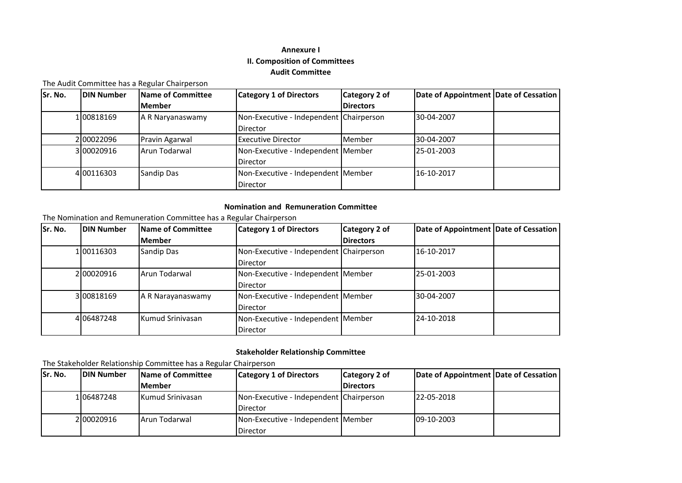# **Annexure I II. Composition of Committees Audit Committee**

### The Audit Committee has a Regular Chairperson

| Sr. No. | <b>DIN Number</b> | Name of Committee | <b>Category 1 of Directors</b>          | Category 2 of    | Date of Appointment Date of Cessation |  |
|---------|-------------------|-------------------|-----------------------------------------|------------------|---------------------------------------|--|
|         |                   | <b>Member</b>     |                                         | <b>Directors</b> |                                       |  |
|         | 1 008 18 169      | A R Naryanaswamy  | Non-Executive - Independent Chairperson |                  | 30-04-2007                            |  |
|         |                   |                   | <b>Director</b>                         |                  |                                       |  |
|         | 2 00022096        | Pravin Agarwal    | Executive Director                      | Member           | 30-04-2007                            |  |
|         | 3100020916        | Arun Todarwal     | Non-Executive - Independent Member      |                  | 25-01-2003                            |  |
|         |                   |                   | <b>Director</b>                         |                  |                                       |  |
|         | 4 00116303        | Sandip Das        | Non-Executive - Independent   Member    |                  | 16-10-2017                            |  |
|         |                   |                   | <b>Director</b>                         |                  |                                       |  |

#### **Nomination and Remuneration Committee**

The Nomination and Remuneration Committee has a Regular Chairperson

| Sr. No. | <b>DIN Number</b> | Name of Committee       | <b>Category 1 of Directors</b>          | Category 2 of    | Date of Appointment Date of Cessation |  |
|---------|-------------------|-------------------------|-----------------------------------------|------------------|---------------------------------------|--|
|         |                   | <b>Member</b>           |                                         | <b>Directors</b> |                                       |  |
|         | 1 00116303        | Sandip Das              | Non-Executive - Independent Chairperson |                  | 16-10-2017                            |  |
|         |                   |                         | <b>Director</b>                         |                  |                                       |  |
|         | 200020916         | Arun Todarwal           | Non-Executive - Independent Member      |                  | 25-01-2003                            |  |
|         |                   |                         | <b>Director</b>                         |                  |                                       |  |
|         | 3 008 18 169      | A R Narayanaswamy       | Non-Executive - Independent Member      |                  | 30-04-2007                            |  |
|         |                   |                         | <b>Director</b>                         |                  |                                       |  |
|         | 4 0 648 7248      | <b>Kumud Srinivasan</b> | Non-Executive - Independent Member      |                  | 24-10-2018                            |  |
|         |                   |                         | Director                                |                  |                                       |  |

### **Stakeholder Relationship Committee**

The Stakeholder Relationship Committee has a Regular Chairperson

| ISr. No. | <b>IDIN Number</b> | <b>Name of Committee</b> | <b>Category 1 of Directors</b>          | Category 2 of    | Date of Appointment Date of Cessation |  |
|----------|--------------------|--------------------------|-----------------------------------------|------------------|---------------------------------------|--|
|          |                    | <b>Member</b>            |                                         | <b>Directors</b> |                                       |  |
|          | 106487248          | <b>Kumud Srinivasan</b>  | Non-Executive - Independent Chairperson |                  | 22-05-2018                            |  |
|          |                    |                          | Director                                |                  |                                       |  |
|          | 2 00020916         | Arun Todarwal            | Non-Executive - Independent   Member    |                  | 09-10-2003                            |  |
|          |                    |                          | Director                                |                  |                                       |  |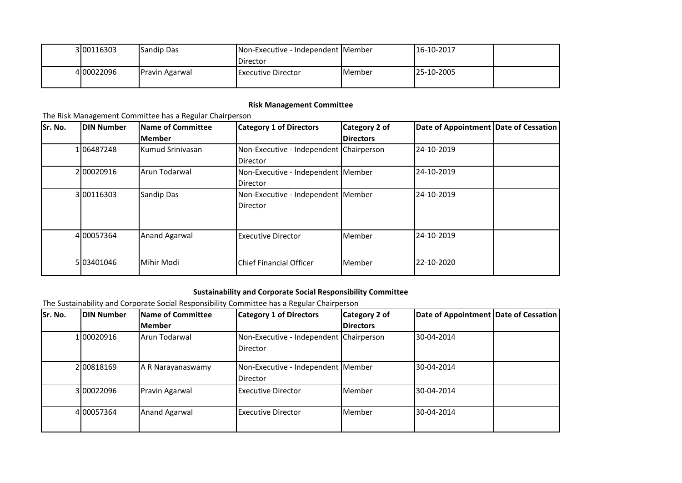| 3 00116303 | <b>Sandip Das</b>     | Non-Executive - Independent   Member |         | 16-10-2017        |  |
|------------|-----------------------|--------------------------------------|---------|-------------------|--|
|            |                       | Director                             |         |                   |  |
| 4100022096 | <b>Pravin Agarwal</b> | Executive Director                   | lMember | <b>25-10-2005</b> |  |
|            |                       |                                      |         |                   |  |

## **Risk Management Committee**

## The Risk Management Committee has a Regular Chairperson

| Sr. No. | DIN Number | <b>Name of Committee</b> | <b>Category 1 of Directors</b>          | Category 2 of    | Date of Appointment Date of Cessation |  |
|---------|------------|--------------------------|-----------------------------------------|------------------|---------------------------------------|--|
|         |            | <b>Member</b>            |                                         | <b>Directors</b> |                                       |  |
|         | 106487248  | <b>Kumud Srinivasan</b>  | Non-Executive - Independent Chairperson |                  | 24-10-2019                            |  |
|         |            |                          | <b>Director</b>                         |                  |                                       |  |
|         | 200020916  | Arun Todarwal            | Non-Executive - Independent Member      |                  | 24-10-2019                            |  |
|         |            |                          | <b>Director</b>                         |                  |                                       |  |
|         | 3 00116303 | Sandip Das               | Non-Executive - Independent Member      |                  | 24-10-2019                            |  |
|         |            |                          | <b>Director</b>                         |                  |                                       |  |
|         |            |                          |                                         |                  |                                       |  |
|         |            |                          |                                         |                  |                                       |  |
|         | 4 00057364 | <b>Anand Agarwal</b>     | <b>Executive Director</b>               | Member           | 24-10-2019                            |  |
|         |            |                          |                                         |                  |                                       |  |
|         | 5 03401046 | Mihir Modi               | Chief Financial Officer                 | Member           | 22-10-2020                            |  |
|         |            |                          |                                         |                  |                                       |  |

# **Sustainability and Corporate Social Responsibility Committee**

The Sustainability and Corporate Social Responsibility Committee has a Regular Chairperson

| Sr. No. | <b>DIN Number</b> | Name of Committee    | <b>Category 1 of Directors</b>                        | Category 2 of    | Date of Appointment Date of Cessation |  |
|---------|-------------------|----------------------|-------------------------------------------------------|------------------|---------------------------------------|--|
|         |                   | <b>Member</b>        |                                                       | <b>Directors</b> |                                       |  |
|         | 100020916         | Arun Todarwal        | Non-Executive - Independent Chairperson<br>Director   |                  | 30-04-2014                            |  |
|         | 2 008 18 169      | A R Narayanaswamy    | Non-Executive - Independent Member<br><b>Director</b> |                  | 30-04-2014                            |  |
|         | 3 00022096        | Pravin Agarwal       | <b>Executive Director</b>                             | Member           | 30-04-2014                            |  |
|         | 4 00057364        | <b>Anand Agarwal</b> | <b>Executive Director</b>                             | Member           | 30-04-2014                            |  |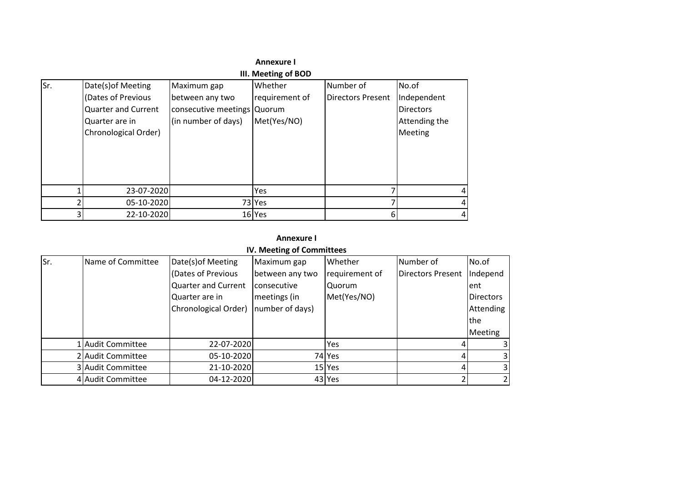|     |                                                                                                                  |                                                                                      | Annexure I                               |                                       |                                                                      |   |
|-----|------------------------------------------------------------------------------------------------------------------|--------------------------------------------------------------------------------------|------------------------------------------|---------------------------------------|----------------------------------------------------------------------|---|
|     |                                                                                                                  |                                                                                      | III. Meeting of BOD                      |                                       |                                                                      |   |
| Sr. | Date(s) of Meeting<br>(Dates of Previous<br><b>Quarter and Current</b><br>Quarter are in<br>Chronological Order) | Maximum gap<br>between any two<br>consecutive meetings Quorum<br>(in number of days) | Whether<br>requirement of<br>Met(Yes/NO) | Number of<br><b>Directors Present</b> | No.of<br>Independent<br><b>Directors</b><br>Attending the<br>Meeting |   |
|     | 23-07-2020                                                                                                       |                                                                                      | Yes                                      |                                       |                                                                      | 4 |
|     | 05-10-2020                                                                                                       |                                                                                      | 73 Yes                                   |                                       |                                                                      | 4 |
| 3   | 22-10-2020                                                                                                       |                                                                                      | 16 Yes                                   | 6                                     |                                                                      | 4 |

## **Annexure I**

|  | IV. Meeting of Committees |
|--|---------------------------|
|--|---------------------------|

| Sr. | Name of Committee | Date(s) of Meeting         | Maximum gap     | Whether        | Number of         | No.of            |
|-----|-------------------|----------------------------|-----------------|----------------|-------------------|------------------|
|     |                   | (Dates of Previous         | between any two | requirement of | Directors Present | Independ         |
|     |                   | <b>Quarter and Current</b> | consecutive     | Quorum         |                   | ent              |
|     |                   | Quarter are in             | meetings (in    | Met(Yes/NO)    |                   | <b>Directors</b> |
|     |                   | Chronological Order)       | number of days) |                |                   | Attending        |
|     |                   |                            |                 |                |                   | <b>Ithe</b>      |
|     |                   |                            |                 |                |                   | <b>Meeting</b>   |
|     | 1 Audit Committee | 22-07-2020                 |                 | Yes            |                   | 31               |
|     | 2 Audit Committee | 05-10-2020                 |                 | 74 Yes         |                   | 31               |
|     | 3 Audit Committee | 21-10-2020                 |                 | 15 Yes         |                   | $\overline{3}$   |
|     | 4 Audit Committee | 04-12-2020                 |                 | 43 Yes         |                   | $\overline{2}$   |